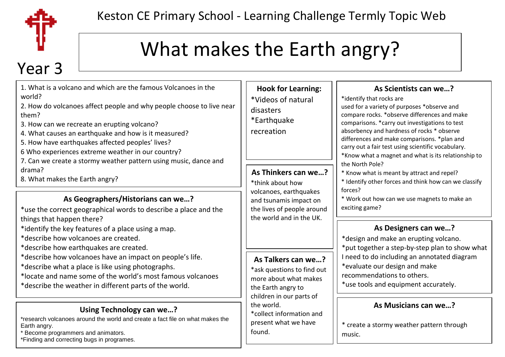

## What makes the Earth angry?

# Year 3

| 1. What is a volcano and which are the famous Volcanoes in the<br>world?<br>2. How do volcanoes affect people and why people choose to live near<br>them?<br>3. How can we recreate an erupting volcano?<br>4. What causes an earthquake and how is it measured?<br>5. How have earthquakes affected peoples' lives?<br>6 Who experiences extreme weather in our country? | <b>Hook for Learning:</b><br>*Videos of natural<br>disasters<br>*Earthquake<br>recreation                                   | As Scientists can we?<br>*identify that rocks are<br>used for a variety of purposes *observe and<br>compare rocks. * observe differences and make<br>comparisons. * carry out investigations to test<br>absorbency and hardness of rocks * observe<br>differences and make comparisons. *plan and<br>carry out a fair test using scientific vocabulary.<br>*Know what a magnet and what is its relationship to<br>the North Pole?<br>* Know what is meant by attract and repel?<br>* Identify other forces and think how can we classify |
|---------------------------------------------------------------------------------------------------------------------------------------------------------------------------------------------------------------------------------------------------------------------------------------------------------------------------------------------------------------------------|-----------------------------------------------------------------------------------------------------------------------------|------------------------------------------------------------------------------------------------------------------------------------------------------------------------------------------------------------------------------------------------------------------------------------------------------------------------------------------------------------------------------------------------------------------------------------------------------------------------------------------------------------------------------------------|
| 7. Can we create a stormy weather pattern using music, dance and<br>drama?<br>8. What makes the Earth angry?                                                                                                                                                                                                                                                              | As Thinkers can we?<br>*think about how                                                                                     |                                                                                                                                                                                                                                                                                                                                                                                                                                                                                                                                          |
| As Geographers/Historians can we?<br>*use the correct geographical words to describe a place and the                                                                                                                                                                                                                                                                      | volcanoes, earthquakes<br>and tsunamis impact on<br>the lives of people around<br>the world and in the UK.                  | forces?<br>* Work out how can we use magnets to make an<br>exciting game?                                                                                                                                                                                                                                                                                                                                                                                                                                                                |
| things that happen there?<br>*identify the key features of a place using a map.<br>*describe how volcanoes are created.<br>*describe how earthquakes are created.                                                                                                                                                                                                         |                                                                                                                             | As Designers can we?<br>*design and make an erupting volcano.<br>*put together a step-by-step plan to show what                                                                                                                                                                                                                                                                                                                                                                                                                          |
| *describe how volcanoes have an impact on people's life.<br>*describe what a place is like using photographs.<br>*locate and name some of the world's most famous volcanoes<br>*describe the weather in different parts of the world.                                                                                                                                     | As Talkers can we?<br>*ask questions to find out<br>more about what makes<br>the Earth angry to<br>children in our parts of | I need to do including an annotated diagram<br>*evaluate our design and make<br>recommendations to others.<br>*use tools and equipment accurately.                                                                                                                                                                                                                                                                                                                                                                                       |
| Using Technology can we?<br>*research volcanoes around the world and create a fact file on what makes the<br>Earth angry.<br>Become programmers and animators.<br>*Finding and correcting bugs in programes.                                                                                                                                                              | the world.<br>*collect information and<br>present what we have<br>found.                                                    | As Musicians can we?<br>* create a stormy weather pattern through<br>music.                                                                                                                                                                                                                                                                                                                                                                                                                                                              |